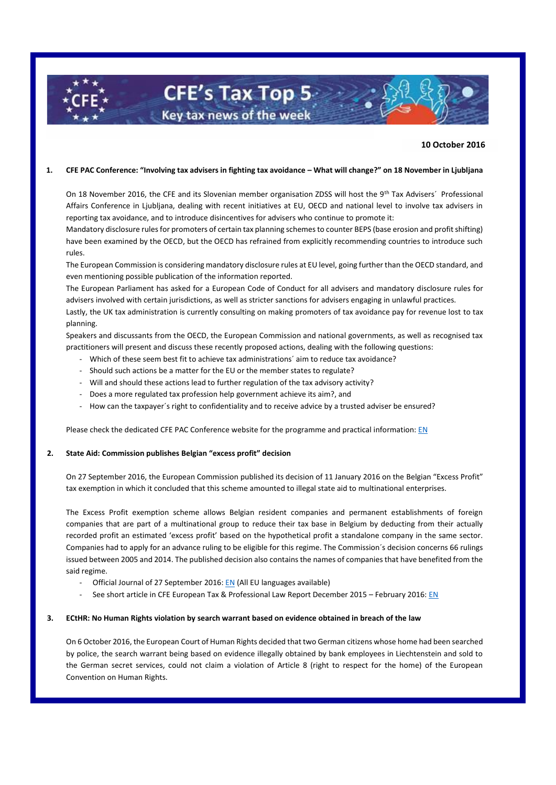# **10 October 2016**

#### **1. CFE PAC Conference: "Involving tax advisers in fighting tax avoidance – What will change?" on 18 November in Ljubljana**

**CFE's Tax Top 5-**

Key tax news of the week

On 18 November 2016, the CFE and its Slovenian member organisation ZDSS will host the 9<sup>th</sup> Tax Advisers<sup>'</sup> Professional Affairs Conference in Ljubljana, dealing with recent initiatives at EU, OECD and national level to involve tax advisers in reporting tax avoidance, and to introduce disincentives for advisers who continue to promote it:

Mandatory disclosure rules for promoters of certain tax planning schemes to counter BEPS (base erosion and profit shifting) have been examined by the OECD, but the OECD has refrained from explicitly recommending countries to introduce such rules.

The European Commission is considering mandatory disclosure rules at EU level, going further than the OECD standard, and even mentioning possible publication of the information reported.

The European Parliament has asked for a European Code of Conduct for all advisers and mandatory disclosure rules for advisers involved with certain jurisdictions, as well as stricter sanctions for advisers engaging in unlawful practices.

Lastly, the UK tax administration is currently consulting on making promoters of tax avoidance pay for revenue lost to tax planning.

Speakers and discussants from the OECD, the European Commission and national governments, as well as recognised tax practitioners will present and discuss these recently proposed actions, dealing with the following questions:

- Which of these seem best fit to achieve tax administrations' aim to reduce tax avoidance?
- Should such actions be a matter for the EU or the member states to regulate?
- Will and should these actions lead to further regulation of the tax advisory activity?
- Does a more regulated tax profession help government achieve its aim?, and
- How can the taxpayer's right to confidentiality and to receive advice by a trusted adviser be ensured?

Please check the dedicated CFE PAC Conference website for the programme and practical information: [EN](http://www.cfe-eutax.org/node/5548)

# **2. State Aid: Commission publishes Belgian "excess profit" decision**

On 27 September 2016, the European Commission published its decision of 11 January 2016 on the Belgian "Excess Profit" tax exemption in which it concluded that this scheme amounted to illegal state aid to multinational enterprises.

The Excess Profit exemption scheme allows Belgian resident companies and permanent establishments of foreign companies that are part of a multinational group to reduce their tax base in Belgium by deducting from their actually recorded profit an estimated 'excess profit' based on the hypothetical profit a standalone company in the same sector. Companies had to apply for an advance ruling to be eligible for this regime. The Commission´s decision concerns 66 rulings issued between 2005 and 2014. The published decision also contains the names of companies that have benefited from the said regime.

- Official Journal of 27 September 2016[: EN](http://eur-lex.europa.eu/legal-content/EN/TXT/?uri=uriserv:OJ.L_.2016.260.01.0061.01.ENG&toc=OJ:L:2016:260:TOC) (All EU languages available)
- See short article in CFE European Tax & Professional Law Report December 2015 February 2016[: EN](http://www.cfe-eutax.org/sites/default/files/T%26PL%20Report%20December%202015%20to%20February%202016.pdf)

# **3. ECtHR: No Human Rights violation by search warrant based on evidence obtained in breach of the law**

On 6 October 2016, the European Court of Human Rights decided that two German citizens whose home had been searched by police, the search warrant being based on evidence illegally obtained by bank employees in Liechtenstein and sold to the German secret services, could not claim a violation of Article 8 (right to respect for the home) of the European Convention on Human Rights.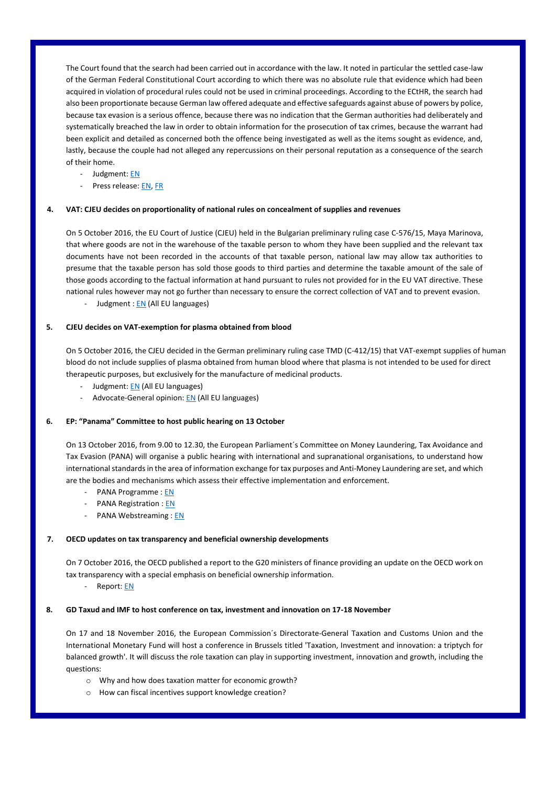The Court found that the search had been carried out in accordance with the law. It noted in particular the settled case-law of the German Federal Constitutional Court according to which there was no absolute rule that evidence which had been acquired in violation of procedural rules could not be used in criminal proceedings. According to the ECtHR, the search had also been proportionate because German law offered adequate and effective safeguards against abuse of powers by police, because tax evasion is a serious offence, because there was no indication that the German authorities had deliberately and systematically breached the law in order to obtain information for the prosecution of tax crimes, because the warrant had been explicit and detailed as concerned both the offence being investigated as well as the items sought as evidence, and, lastly, because the couple had not alleged any repercussions on their personal reputation as a consequence of the search of their home.

- Judgment[: EN](http://hudoc.echr.coe.int/eng?i=001-166958#{"itemid":["001-166958"]})
- Press release[: EN,](http://hudoc.echr.coe.int/app/conversion/pdf?library=ECHR&id=003-5509636-6927148&filename=Judgment%20K.S.%20and%20M.S.%20v.%20Germany%20-%20search%20of%20couple%27s%20home%20on%20basis%20of%20information%20sold%20to%20secret%20services.pdf) [FR](http://hudoc.echr.coe.int/eng-press?i=003-5509642-6927160)

# **4. VAT: CJEU decides on proportionality of national rules on concealment of supplies and revenues**

On 5 October 2016, the EU Court of Justice (CJEU) held in the Bulgarian preliminary ruling case C-576/15, Maya Marinova, that where goods are not in the warehouse of the taxable person to whom they have been supplied and the relevant tax documents have not been recorded in the accounts of that taxable person, national law may allow tax authorities to presume that the taxable person has sold those goods to third parties and determine the taxable amount of the sale of those goods according to the factual information at hand pursuant to rules not provided for in the EU VAT directive. These national rules however may not go further than necessary to ensure the correct collection of VAT and to prevent evasion. - Judgment [: EN](http://curia.europa.eu/juris/document/document.jsf?text=&docid=184324&pageIndex=0&doclang=EN&mode=lst&dir=&occ=first&part=1&cid=227297) (All EU languages)

#### **5. CJEU decides on VAT-exemption for plasma obtained from blood**

On 5 October 2016, the CJEU decided in the German preliminary ruling case TMD (C-412/15) that VAT-exempt supplies of human blood do not include supplies of plasma obtained from human blood where that plasma is not intended to be used for direct therapeutic purposes, but exclusively for the manufacture of medicinal products.

- Judgment[: EN](http://curia.europa.eu/juris/document/document.jsf?text=&docid=184322&pageIndex=0&doclang=EN&mode=lst&dir=&occ=first&part=1&cid=227297) (All EU languages)
- Advocate-General opinion[: EN](http://curia.europa.eu/juris/document/document.jsf?text=&docid=179326&pageIndex=0&doclang=EN&mode=lst&dir=&occ=first&part=1&cid=227297) (All EU languages)

### **6. EP: "Panama" Committee to host public hearing on 13 October**

On 13 October 2016, from 9.00 to 12.30, the European Parliament´s Committee on Money Laundering, Tax Avoidance and Tax Evasion (PANA) will organise a public hearing with international and supranational organisations, to understand how international standards in the area of information exchange for tax purposes and Anti-Money Laundering are set, and which are the bodies and mechanisms which assess their effective implementation and enforcement.

- PANA Programme [: EN](https://polcms.secure.europarl.europa.eu/cmsdata/upload/0b6aa248-a367-4cec-a805-27d2ac79ecfd/Draft%20programme%20PANA%20Hearing%20%2013%20October.pdf.pdf)
- PANA Registration [: EN](http://www.polcms.europarl.europa.eu/cmsdata/upload/93bdc741-d047-46af-ba26-f0a8b191089b/Registration%20information%20-%20PUBLIC%20HEARING%2013%20October.pdf)
- PANA Webstreaming : [EN](http://www.europarl.europa.eu/ep-live/en/committees/search?legislature=8&start-date=27-09-2016&end-date=31-10-2016&committee=PANA)

### **7. OECD updates on tax transparency and beneficial ownership developments**

On 7 October 2016, the OECD published a report to the G20 ministers of finance providing an update on the OECD work on tax transparency with a special emphasis on beneficial ownership information.

- Report[: EN](http://www.oecd.org/tax/oecd-secretary-general-tax-report-g20-finance-ministers-october-2016.pdf)

#### **8. GD Taxud and IMF to host conference on tax, investment and innovation on 17-18 November**

On 17 and 18 November 2016, the European Commission´s Directorate-General Taxation and Customs Union and the International Monetary Fund will host a conference in Brussels titled 'Taxation, Investment and innovation: a triptych for balanced growth'. It will discuss the role taxation can play in supporting investment, innovation and growth, including the questions:

- o Why and how does taxation matter for economic growth?
- o How can fiscal incentives support knowledge creation?